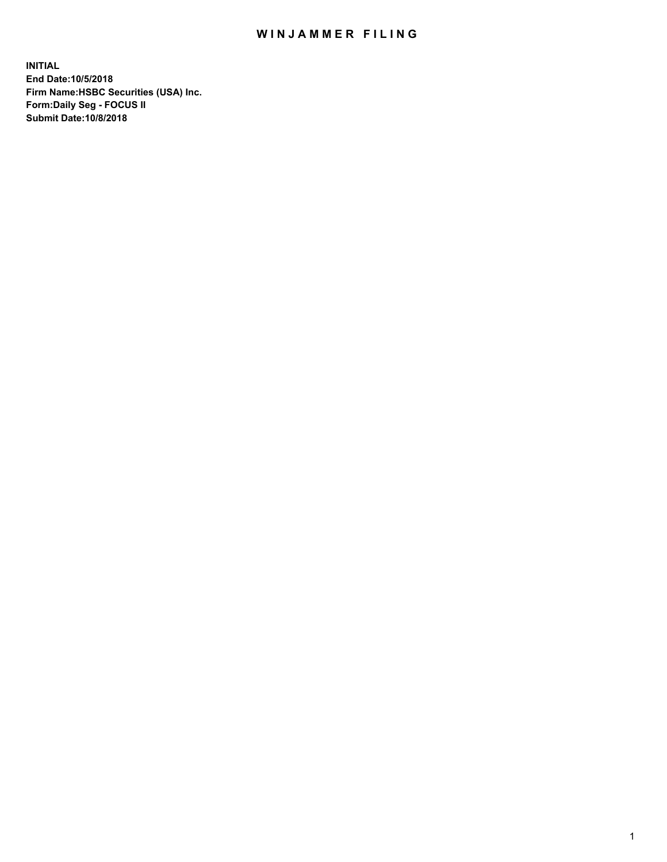## WIN JAMMER FILING

**INITIAL End Date:10/5/2018 Firm Name:HSBC Securities (USA) Inc. Form:Daily Seg - FOCUS II Submit Date:10/8/2018**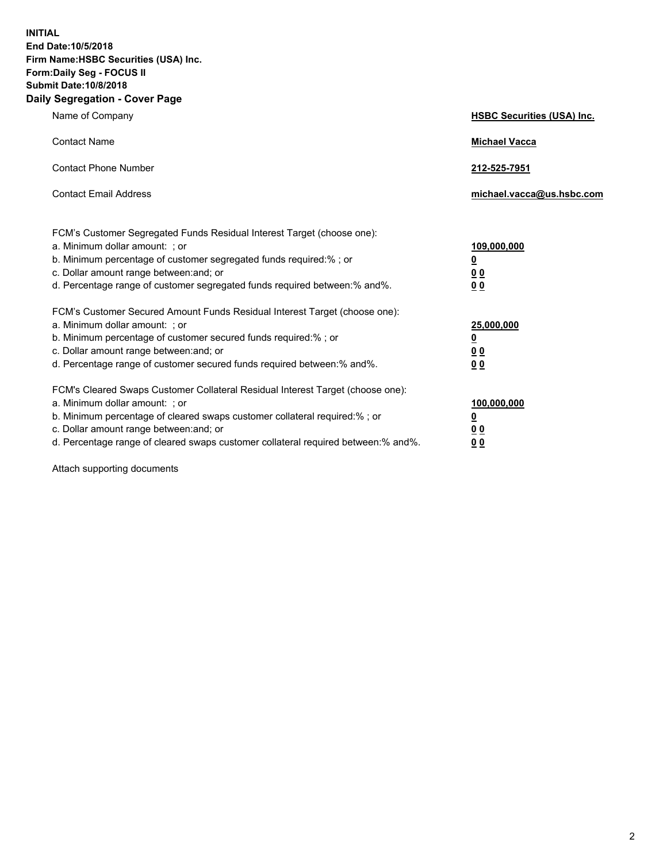**INITIAL End Date:10/5/2018 Firm Name:HSBC Securities (USA) Inc. Form:Daily Seg - FOCUS II Submit Date:10/8/2018 Daily Segregation - Cover Page**

| Name of Company                                                                                                                                                                                                                                                                                                                | <b>HSBC Securities (USA) Inc.</b>                                          |
|--------------------------------------------------------------------------------------------------------------------------------------------------------------------------------------------------------------------------------------------------------------------------------------------------------------------------------|----------------------------------------------------------------------------|
| <b>Contact Name</b>                                                                                                                                                                                                                                                                                                            | <b>Michael Vacca</b>                                                       |
| <b>Contact Phone Number</b>                                                                                                                                                                                                                                                                                                    | 212-525-7951                                                               |
| <b>Contact Email Address</b>                                                                                                                                                                                                                                                                                                   | michael.vacca@us.hsbc.com                                                  |
| FCM's Customer Segregated Funds Residual Interest Target (choose one):<br>a. Minimum dollar amount: : or<br>b. Minimum percentage of customer segregated funds required:% ; or<br>c. Dollar amount range between: and; or<br>d. Percentage range of customer segregated funds required between:% and%.                         | 109,000,000<br>$\overline{\mathbf{0}}$<br>0 <sub>0</sub><br>0 <sub>0</sub> |
| FCM's Customer Secured Amount Funds Residual Interest Target (choose one):<br>a. Minimum dollar amount: ; or<br>b. Minimum percentage of customer secured funds required:%; or<br>c. Dollar amount range between: and; or<br>d. Percentage range of customer secured funds required between:% and%.                            | 25,000,000<br>$\overline{\mathbf{0}}$<br>0 <sub>0</sub><br>0 <sub>0</sub>  |
| FCM's Cleared Swaps Customer Collateral Residual Interest Target (choose one):<br>a. Minimum dollar amount: ; or<br>b. Minimum percentage of cleared swaps customer collateral required:% ; or<br>c. Dollar amount range between: and; or<br>d. Percentage range of cleared swaps customer collateral required between:% and%. | 100,000,000<br>$\overline{\mathbf{0}}$<br>0 <sub>0</sub><br>0 <sub>0</sub> |

Attach supporting documents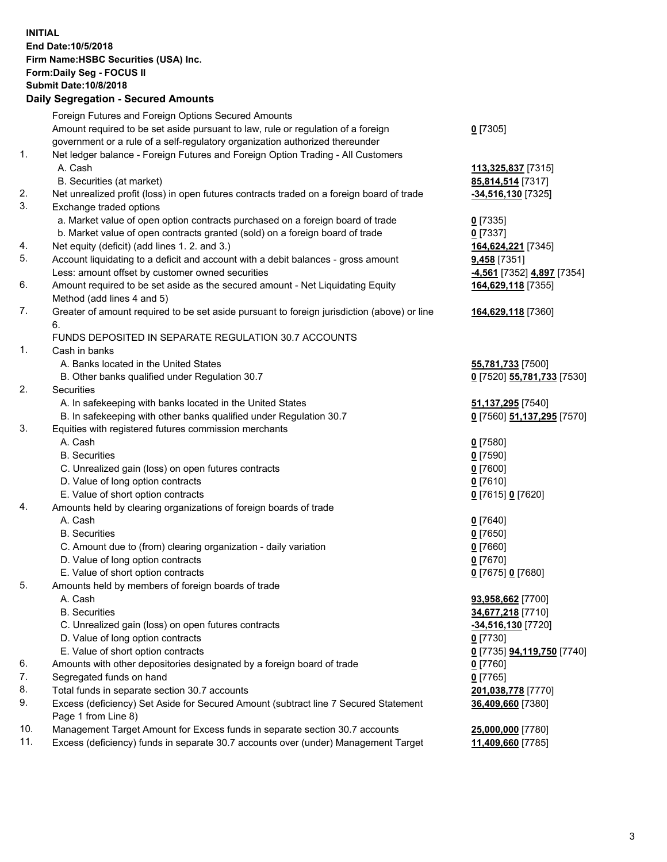**INITIAL End Date:10/5/2018 Firm Name:HSBC Securities (USA) Inc. Form:Daily Seg - FOCUS II Submit Date:10/8/2018 Daily Segregation - Secured Amounts** Foreign Futures and Foreign Options Secured Amounts Amount required to be set aside pursuant to law, rule or regulation of a foreign government or a rule of a self-regulatory organization authorized thereunder **0** [7305] 1. Net ledger balance - Foreign Futures and Foreign Option Trading - All Customers A. Cash **113,325,837** [7315] B. Securities (at market) **85,814,514** [7317] 2. Net unrealized profit (loss) in open futures contracts traded on a foreign board of trade **-34,516,130** [7325] 3. Exchange traded options a. Market value of open option contracts purchased on a foreign board of trade **0** [7335] b. Market value of open contracts granted (sold) on a foreign board of trade **0** [7337] 4. Net equity (deficit) (add lines 1. 2. and 3.) **164,624,221** [7345] 5. Account liquidating to a deficit and account with a debit balances - gross amount **9,458** [7351] Less: amount offset by customer owned securities **-4,561** [7352] **4,897** [7354] 6. Amount required to be set aside as the secured amount - Net Liquidating Equity Method (add lines 4 and 5) **164,629,118** [7355] 7. Greater of amount required to be set aside pursuant to foreign jurisdiction (above) or line 6. **164,629,118** [7360] FUNDS DEPOSITED IN SEPARATE REGULATION 30.7 ACCOUNTS 1. Cash in banks A. Banks located in the United States **55,781,733** [7500] B. Other banks qualified under Regulation 30.7 **0** [7520] **55,781,733** [7530] 2. Securities A. In safekeeping with banks located in the United States **51,137,295** [7540] B. In safekeeping with other banks qualified under Regulation 30.7 **0** [7560] **51,137,295** [7570] 3. Equities with registered futures commission merchants A. Cash **0** [7580] B. Securities **0** [7590] C. Unrealized gain (loss) on open futures contracts **0** [7600] D. Value of long option contracts **0** [7610] E. Value of short option contracts **0** [7615] **0** [7620] 4. Amounts held by clearing organizations of foreign boards of trade A. Cash **0** [7640] B. Securities **0** [7650] C. Amount due to (from) clearing organization - daily variation **0** [7660] D. Value of long option contracts **0** [7670] E. Value of short option contracts **0** [7675] **0** [7680] 5. Amounts held by members of foreign boards of trade A. Cash **93,958,662** [7700] B. Securities **34,677,218** [7710] C. Unrealized gain (loss) on open futures contracts **-34,516,130** [7720] D. Value of long option contracts **0** [7730] E. Value of short option contracts **0** [7735] **94,119,750** [7740] 6. Amounts with other depositories designated by a foreign board of trade **0** [7760] 7. Segregated funds on hand **0** [7765] 8. Total funds in separate section 30.7 accounts **201,038,778** [7770] 9. Excess (deficiency) Set Aside for Secured Amount (subtract line 7 Secured Statement Page 1 from Line 8) **36,409,660** [7380]

10. Management Target Amount for Excess funds in separate section 30.7 accounts **25,000,000** [7780]

11. Excess (deficiency) funds in separate 30.7 accounts over (under) Management Target **11,409,660** [7785]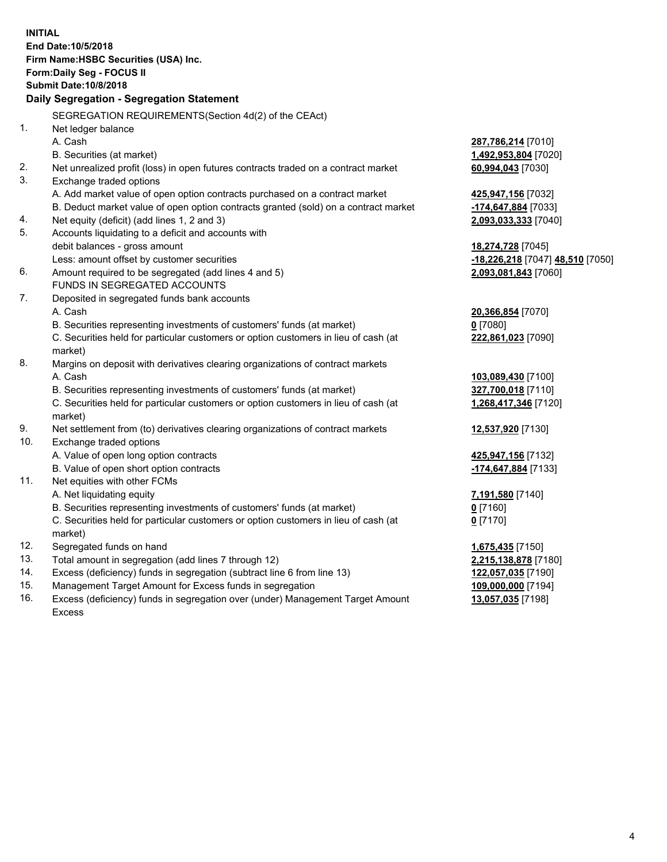|     | <b>INITIAL</b>                                                                      |                                  |
|-----|-------------------------------------------------------------------------------------|----------------------------------|
|     | End Date: 10/5/2018                                                                 |                                  |
|     | Firm Name: HSBC Securities (USA) Inc.                                               |                                  |
|     | Form: Daily Seg - FOCUS II                                                          |                                  |
|     | <b>Submit Date: 10/8/2018</b>                                                       |                                  |
|     | Daily Segregation - Segregation Statement                                           |                                  |
|     | SEGREGATION REQUIREMENTS(Section 4d(2) of the CEAct)                                |                                  |
| 1.  | Net ledger balance                                                                  |                                  |
|     | A. Cash                                                                             | 287,786,214 [7010]               |
|     | B. Securities (at market)                                                           | 1,492,953,804 [7020]             |
| 2.  | Net unrealized profit (loss) in open futures contracts traded on a contract market  | 60,994,043 [7030]                |
| 3.  | Exchange traded options                                                             |                                  |
|     | A. Add market value of open option contracts purchased on a contract market         | 425,947,156 [7032]               |
|     | B. Deduct market value of open option contracts granted (sold) on a contract market | -174,647,884 [7033]              |
| 4.  | Net equity (deficit) (add lines 1, 2 and 3)                                         | 2,093,033,333 [7040]             |
| 5.  | Accounts liquidating to a deficit and accounts with                                 |                                  |
|     | debit balances - gross amount                                                       | 18,274,728 [7045]                |
|     | Less: amount offset by customer securities                                          | -18,226,218 [7047] 48,510 [7050] |
| 6.  | Amount required to be segregated (add lines 4 and 5)                                | 2,093,081,843 [7060]             |
|     | FUNDS IN SEGREGATED ACCOUNTS                                                        |                                  |
| 7.  | Deposited in segregated funds bank accounts                                         |                                  |
|     | A. Cash                                                                             | 20,366,854 [7070]                |
|     | B. Securities representing investments of customers' funds (at market)              | $0$ [7080]                       |
|     | C. Securities held for particular customers or option customers in lieu of cash (at | 222,861,023 [7090]               |
|     | market)                                                                             |                                  |
| 8.  | Margins on deposit with derivatives clearing organizations of contract markets      |                                  |
|     | A. Cash                                                                             | 103,089,430 [7100]               |
|     | B. Securities representing investments of customers' funds (at market)              | 327,700,018 [7110]               |
|     | C. Securities held for particular customers or option customers in lieu of cash (at | 1,268,417,346 [7120]             |
|     | market)                                                                             |                                  |
| 9.  | Net settlement from (to) derivatives clearing organizations of contract markets     | 12,537,920 [7130]                |
| 10. | Exchange traded options                                                             |                                  |
|     | A. Value of open long option contracts                                              | 425,947,156 [7132]               |
|     | B. Value of open short option contracts                                             | -174,647,884 [7133]              |
| 11. | Net equities with other FCMs                                                        |                                  |
|     | A. Net liquidating equity                                                           | 7,191,580 [7140]                 |
|     | B. Securities representing investments of customers' funds (at market)              | $0$ [7160]                       |
|     | C. Securities held for particular customers or option customers in lieu of cash (at | $0$ [7170]                       |
|     | market)                                                                             |                                  |
| 12. | Segregated funds on hand                                                            | 1,675,435 [7150]                 |
| 13. | Total amount in segregation (add lines 7 through 12)                                | 2,215,138,878 [7180]             |
| 14. | Excess (deficiency) funds in segregation (subtract line 6 from line 13)             | 122,057,035 [7190]               |
| 15. | Management Target Amount for Excess funds in segregation                            | 109,000,000 [7194]               |
| 16. | Excess (deficiency) funds in segregation over (under) Management Target Amount      | 13,057,035 [7198]                |

Excess